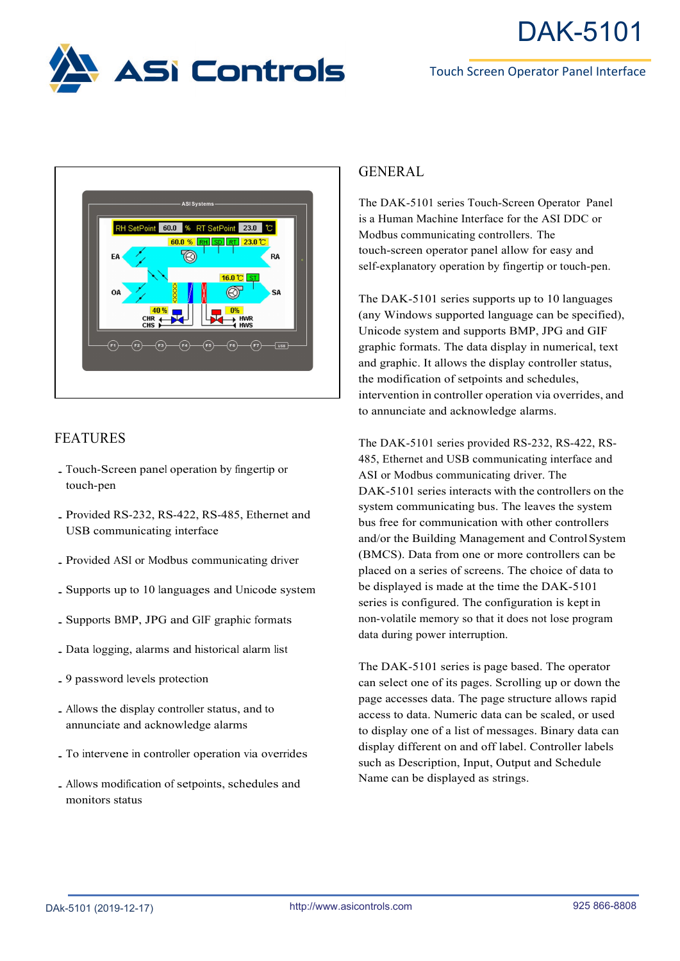





## FEATURES

- ․Touch-Screen panel operation by fingertip or touch-pen
- ․Provided RS-232, RS-422, RS-485, Ethernet and USB communicating interface
- ․Provided ASI or Modbus communicating driver
- ․Supports up to <sup>10</sup> languages and Unicode system
- ․Supports BMP, JPG and GIF graphic formats
- ․Data logging, alarms and historical alarm list
- ․<sup>9</sup> password levels protection
- ․Allows the display controller status, and to annunciate and acknowledge alarms
- ․To intervene in controller operation via overrides
- ․Allows modification of setpoints, schedules and monitors status

## GENERAL

The DAK-5101 series Touch-Screen Operator Panel is a Human Machine Interface for the ASI DDC or Modbus communicating controllers. The touch-screen operator panel allow for easy and self-explanatory operation by fingertip or touch-pen.

The DAK-5101 series supports up to 10 languages (any Windows supported language can be specified), Unicode system and supports BMP, JPG and GIF graphic formats. The data display in numerical, text and graphic. It allows the display controller status, the modification of setpoints and schedules, intervention in controller operation via overrides, and to annunciate and acknowledge alarms.

The DAK-5101 series provided RS-232, RS-422, RS-485, Ethernet and USB communicating interface and ASI or Modbus communicating driver. The DAK-5101 series interacts with the controllers on the system communicating bus. The leaves the system bus free for communication with other controllers and/or the Building Management and ControlSystem (BMCS). Data from one or more controllers can be placed on a series of screens. The choice of data to be displayed is made at the time the DAK-5101 series is configured. The configuration is kept in non-volatile memory so that it does not lose program data during power interruption.

The DAK-5101 series is page based. The operator can select one of its pages. Scrolling up or down the page accesses data. The page structure allows rapid access to data. Numeric data can be scaled, or used to display one of a list of messages. Binary data can display different on and off label. Controller labels such as Description, Input, Output and Schedule Name can be displayed as strings.